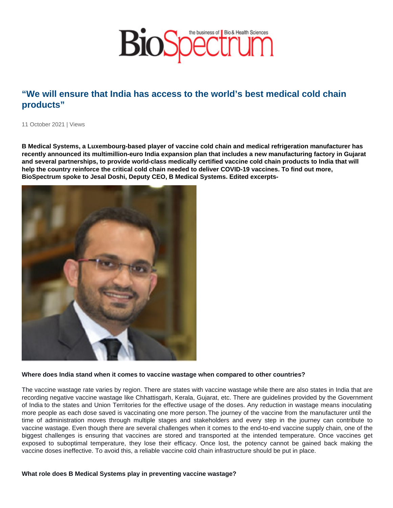## "We will ensure that India has access to the world's best medical cold chain products"

11 October 2021 | Views

B Medical Systems, a Luxembourg-based player of vaccine cold chain and medical refrigeration manufacturer has recently announced its multimillion-euro India expansion plan that includes a new manufacturing factory in Gujarat and several partnerships, to provide world-class medically certified vaccine cold chain products to India that will help the country reinforce the critical cold chain needed to deliver COVID-19 vaccines. To find out more, BioSpectrum spoke to Jesal Doshi, Deputy CEO, B Medical Systems. Edited excerpts-

Where does India stand when it comes to vaccine wastage when compared to other countries?

The vaccine wastage rate varies by region. There are states with vaccine wastage while there are also states in India that are recording negative vaccine wastage like Chhattisgarh, Kerala, Gujarat, etc. There are guidelines provided by the Government of India to the states and Union Territories for the effective usage of the doses. Any reduction in wastage means inoculating more people as each dose saved is vaccinating one more person.The journey of the vaccine from the manufacturer until the time of administration moves through multiple stages and stakeholders and every step in the journey can contribute to vaccine wastage. Even though there are several challenges when it comes to the end-to-end vaccine supply chain, one of the biggest challenges is ensuring that vaccines are stored and transported at the intended temperature. Once vaccines get exposed to suboptimal temperature, they lose their efficacy. Once lost, the potency cannot be gained back making the vaccine doses ineffective. To avoid this, a reliable vaccine cold chain infrastructure should be put in place.

What role does B Medical Systems play in preventing vaccine wastage?